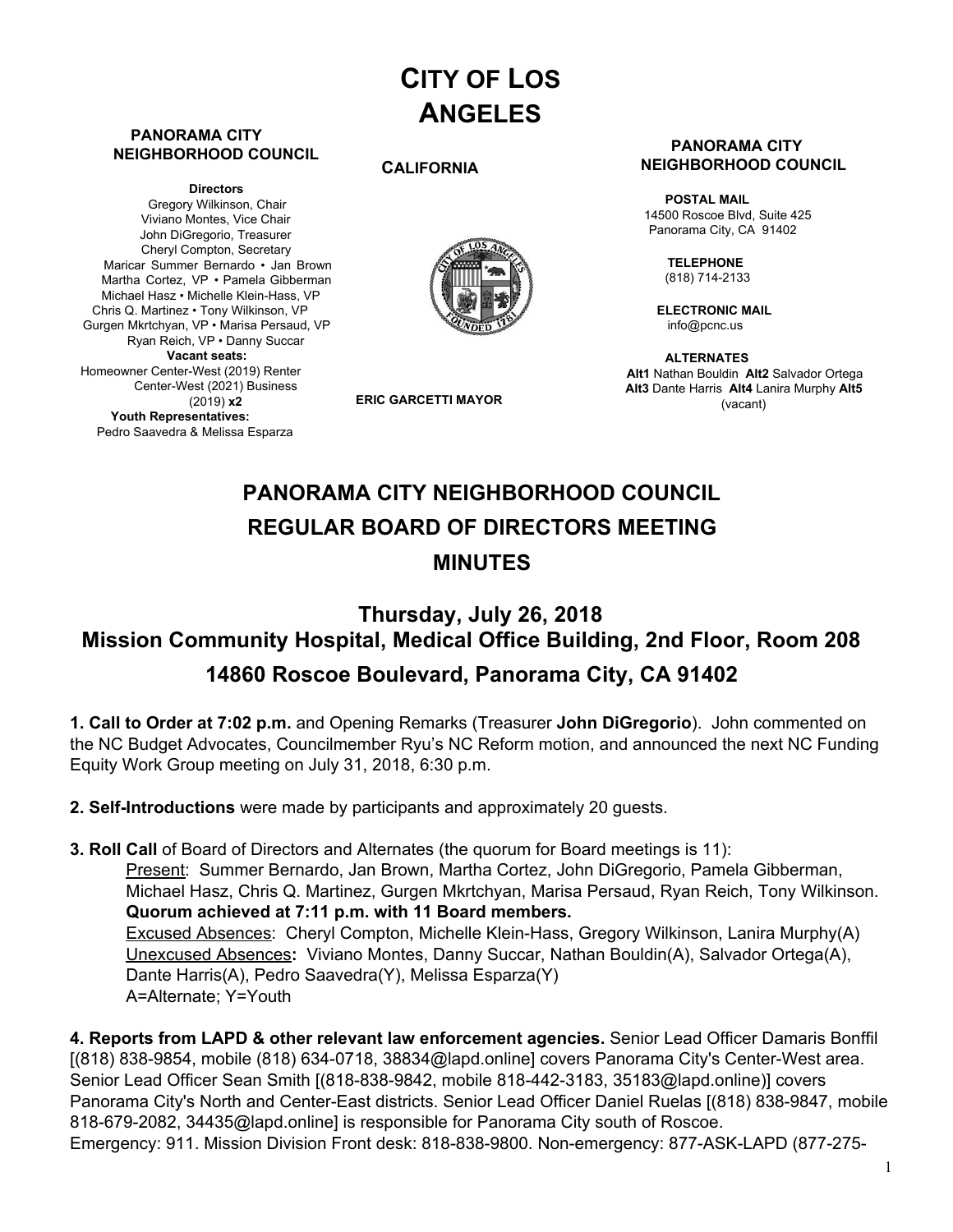# **CITY OF LOS ANGELES**

#### **PANORAMA CITY NEIGHBORHOOD COUNCIL**

**Directors** Gregory Wilkinson, Chair Viviano Montes, Vice Chair John DiGregorio, Treasurer Cheryl Compton, Secretary Maricar Summer Bernardo • Jan Brown Martha Cortez, VP • Pamela Gibberman Michael Hasz • Michelle Klein-Hass, VP Chris Q. Martinez • Tony Wilkinson, VP Gurgen Mkrtchyan, VP • Marisa Persaud, VP Ryan Reich, VP • Danny Succar **Vacant seats:** Homeowner Center-West (2019) Renter Center-West (2021) Business (2019) **x2 Youth Representatives:** Pedro Saavedra & Melissa Esparza

#### **CALIFORNIA**



**ERIC GARCETTI MAYOR**

#### **PANORAMA CITY NEIGHBORHOOD COUNCIL**

**POSTAL MAIL** 14500 Roscoe Blvd, Suite 425 Panorama City, CA 91402

> **TELEPHONE** (818) 714-2133

**ELECTRONIC MAIL** [info@pcnc.us](mailto:info@pcnc.us)

**ALTERNATES Alt1** Nathan Bouldin **Alt2** Salvador Ortega **Alt3** Dante Harris **Alt4** Lanira Murphy **Alt5** (vacant)

# **PANORAMA CITY NEIGHBORHOOD COUNCIL REGULAR BOARD OF DIRECTORS MEETING MINUTES**

# **Thursday, July 26, 2018 Mission Community Hospital, Medical Office Building, 2nd Floor, Room 208 14860 Roscoe Boulevard, Panorama City, CA 91402**

**1. Call to Order at 7:02 p.m.** and Opening Remarks (Treasurer **John DiGregorio**). John commented on the NC Budget Advocates, Councilmember Ryu's NC Reform motion, and announced the next NC Funding Equity Work Group meeting on July 31, 2018, 6:30 p.m.

**2. Self-Introductions** were made by participants and approximately 20 guests.

**3. Roll Call** of Board of Directors and Alternates (the quorum for Board meetings is 11): Present: Summer Bernardo, Jan Brown, Martha Cortez, John DiGregorio, Pamela Gibberman, Michael Hasz, Chris Q. Martinez, Gurgen Mkrtchyan, Marisa Persaud, Ryan Reich, Tony Wilkinson. **Quorum achieved at 7:11 p.m. with 11 Board members.** Excused Absences: Cheryl Compton, Michelle Klein-Hass, Gregory Wilkinson, Lanira Murphy(A) Unexcused Absences**:** Viviano Montes, Danny Succar, Nathan Bouldin(A), Salvador Ortega(A), Dante Harris(A), Pedro Saavedra(Y), Melissa Esparza(Y) A=Alternate; Y=Youth

**4. Reports from LAPD & other relevant law enforcement agencies.** Senior Lead Officer Damaris Bonffil [(818) 838-9854, mobile (818) 634-0718, [38834@lapd.onlin](mailto:38834@lapd.online)e] covers Panorama City's Center-West area. Senior Lead Officer Sean Smith [(818-838-9842, mobile 818-442-3183, [35183@lapd.online](mailto:35183@lapd.online))] covers Panorama City's North and Center-East districts. Senior Lead Officer Daniel Ruelas [(818) 838-9847, mobile 818-679-2082, [34435@lapd.onlin](mailto:34435@lapd.online)e] is responsible for Panorama City south of Roscoe. Emergency: 911. Mission Division Front desk: 818-838-9800. Non-emergency: 877-ASK-LAPD (877-275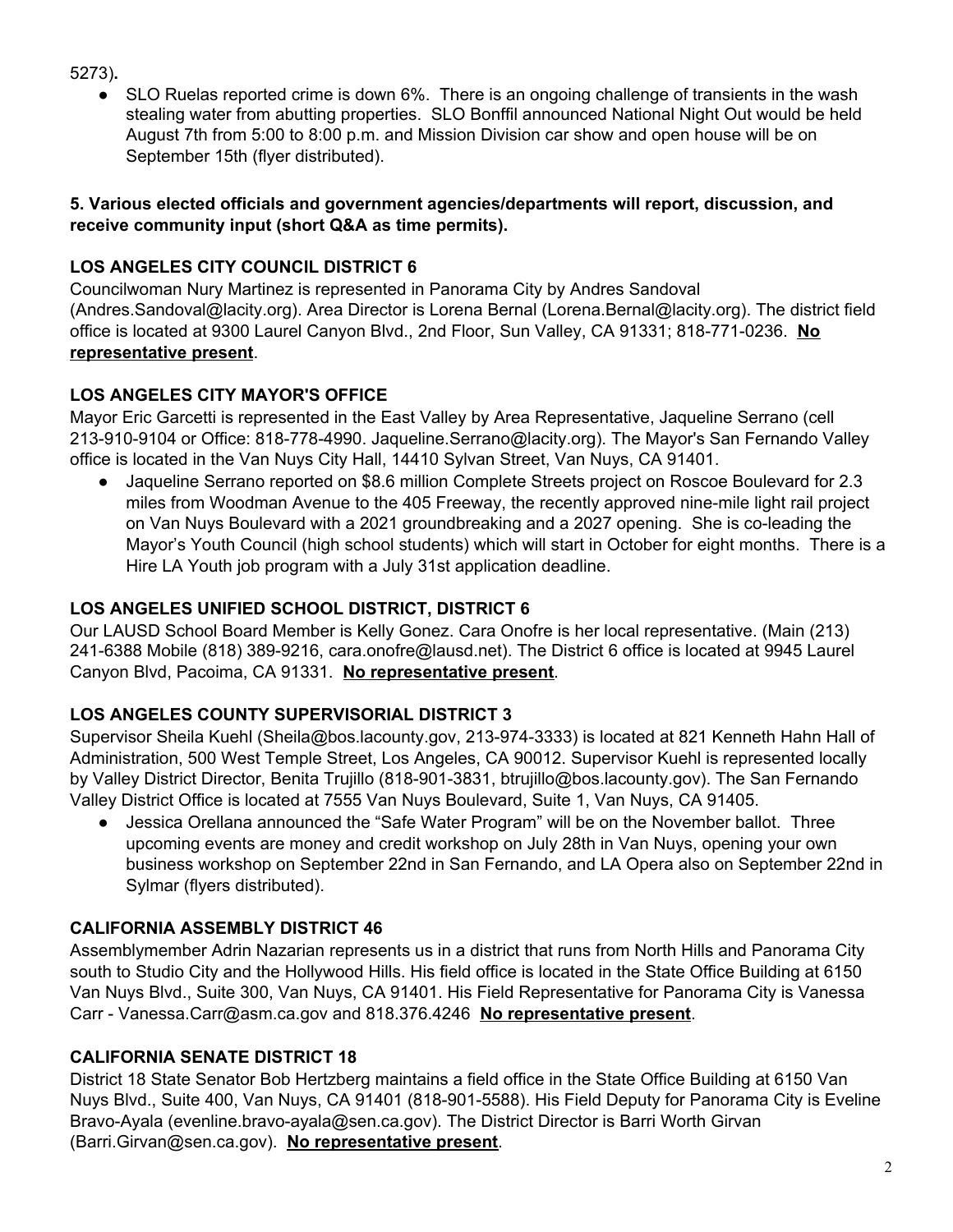5273)**.**

SLO Ruelas reported crime is down 6%. There is an ongoing challenge of transients in the wash stealing water from abutting properties. SLO Bonffil announced National Night Out would be held August 7th from 5:00 to 8:00 p.m. and Mission Division car show and open house will be on September 15th (flyer distributed).

### **5. Various elected officials and government agencies/departments will report, discussion, and receive community input (short Q&A as time permits).**

## **LOS ANGELES CITY COUNCIL DISTRICT 6**

Councilwoman Nury Martinez is represented in Panorama City by Andres Sandoval (Andre[s.Sandoval@lacity.org](mailto:Sandoval@lacity.org)). Area Director is Lorena Bernal (Loren[a.Bernal@lacity.org](mailto:Bernal@lacity.org)). The district field office is located at 9300 Laurel Canyon Blvd., 2nd Floor, Sun Valley, CA 91331; 818-771-0236. **No representative present**.

## **LOS ANGELES CITY MAYOR'S OFFICE**

Mayor Eric Garcetti is represented in the East Valley by Area Representative, Jaqueline Serrano (cell 213-910-9104 or Office: 818-778-4990. Jaqueline[.Serrano@lacity.org](mailto:Serrano@lacity.org)). The Mayor's San Fernando Valley office is located in the Van Nuys City Hall, 14410 Sylvan Street, Van Nuys, CA 91401.

● Jaqueline Serrano reported on \$8.6 million Complete Streets project on Roscoe Boulevard for 2.3 miles from Woodman Avenue to the 405 Freeway, the recently approved nine-mile light rail project on Van Nuys Boulevard with a 2021 groundbreaking and a 2027 opening. She is co-leading the Mayor's Youth Council (high school students) which will start in October for eight months. There is a Hire LA Youth job program with a July 31st application deadline.

## **LOS ANGELES UNIFIED SCHOOL DISTRICT, DISTRICT 6**

Our LAUSD School Board Member is Kelly Gonez. Cara Onofre is her local representative. (Main (213) 241-6388 Mobile (818) 389-9216, c[ara.onofre@lausd.net\).](mailto:onofre@lausd.net) The District 6 office is located at 9945 Laurel Canyon Blvd, Pacoima, CA 91331. **No representative present**.

## **LOS ANGELES COUNTY SUPERVISORIAL DISTRICT 3**

Supervisor Sheila Kuehl [\(Sheila@bos.lacounty.gov](mailto:Sheila@bos.lacounty.gov), 213-974-3333) is located at 821 Kenneth Hahn Hall of Administration, 500 West Temple Street, Los Angeles, CA 90012. Supervisor Kuehl is represented locally by Valley District Director, Benita Trujillo (818-901-3831, [btrujillo@bos.lacounty.gov](mailto:btrujillo@bos.lacounty.gov)). The San Fernando Valley District Office is located at 7555 Van Nuys Boulevard, Suite 1, Van Nuys, CA 91405.

Jessica Orellana announced the "Safe Water Program" will be on the November ballot. Three upcoming events are money and credit workshop on July 28th in Van Nuys, opening your own business workshop on September 22nd in San Fernando, and LA Opera also on September 22nd in Sylmar (flyers distributed).

## **CALIFORNIA ASSEMBLY DISTRICT 46**

Assemblymember Adrin Nazarian represents us in a district that runs from North Hills and Panorama City south to Studio City and the Hollywood Hills. His field office is located in the State Office Building at 6150 Van Nuys Blvd., Suite 300, Van Nuys, CA 91401. His Field Representative for Panorama City is Vanessa Carr - Vanes[sa.Carr@asm.ca.gov](mailto:Carr@asm.ca.gov) and 818.376.4246 **No representative present**.

## **CALIFORNIA SENATE DISTRICT 18**

District 18 State Senator Bob Hertzberg maintains a field office in the State Office Building at 6150 Van Nuys Blvd., Suite 400, Van Nuys, CA 91401 (818-901-5588). His Field Deputy for Panorama City is Eveline Bravo-Ayala (evenlin[e.bravo-ayala@sen.ca.gov\)](mailto:bravo-ayala@sen.ca.gov). The District Director is Barri Worth Girvan (Barri[.Girvan@sen.ca.go](mailto:Girvan@sen.ca.gov)v). **No representative present**.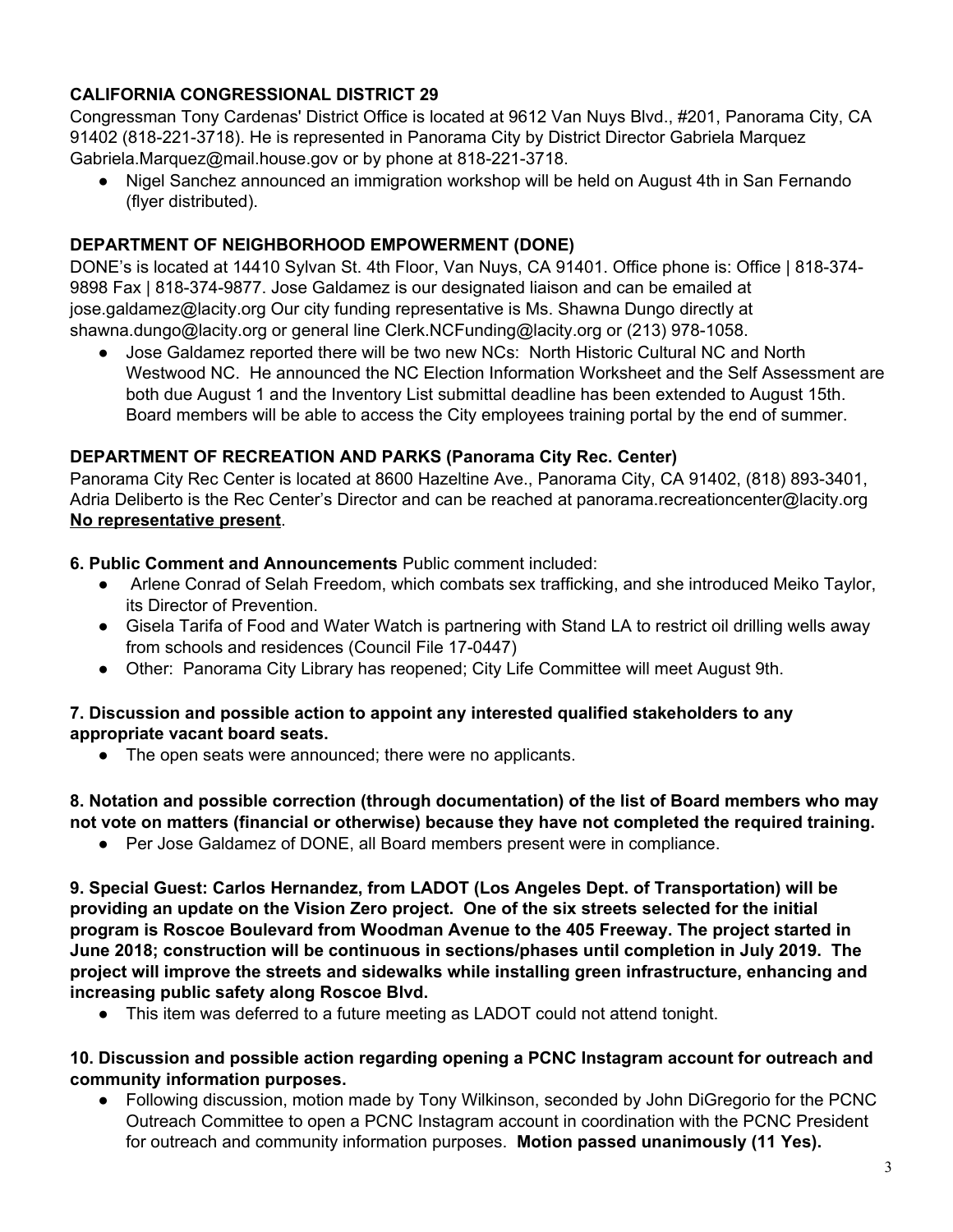## **CALIFORNIA CONGRESSIONAL DISTRICT 29**

Congressman Tony Cardenas' District Office is located at 9612 Van Nuys Blvd., #201, Panorama City, CA 91402 (818-221-3718). He is represented in Panorama City by District Director Gabriela Marquez Gabrie[la.Marquez@mail.house.gov](mailto:Marquez@mail.house.gov) or by phone at 818-221-3718.

Nigel Sanchez announced an immigration workshop will be held on August 4th in San Fernando (flyer distributed).

### **DEPARTMENT OF NEIGHBORHOOD EMPOWERMENT (DONE)**

DONE's is located at 14410 Sylvan St. 4th Floor, Van Nuys, CA 91401. Office phone is: Office | 818-374- 9898 Fax | 818-374-9877. Jose Galdamez is our designated liaison and can be emailed at jo[se.galdamez@lacity.org](mailto:galdamez@lacity.org) Our city funding representative is Ms. Shawna Dungo directly at sha[wna.dungo@lacity.org](mailto:dungo@lacity.org) or general line Cler[k.NCFunding@lacity.org](mailto:NCFunding@lacity.org) or (213) 978-1058.

● Jose Galdamez reported there will be two new NCs: North Historic Cultural NC and North Westwood NC. He announced the NC Election Information Worksheet and the Self Assessment are both due August 1 and the Inventory List submittal deadline has been extended to August 15th. Board members will be able to access the City employees training portal by the end of summer.

### **DEPARTMENT OF RECREATION AND PARKS (Panorama City Rec. Center)**

Panorama City Rec Center is located at 8600 Hazeltine Ave., Panorama City, CA 91402, (818) 893-3401, Adria Deliberto is the Rec Center's Director and can be reached at panora[ma.recreationcenter@lacity.org](mailto:recreationcenter@lacity.org) **No representative present**.

**6. Public Comment and Announcements** Public comment included:<br>• Arlene Conrad of Selah Freedom, which combats sex traffickin

- Arlene Conrad of Selah Freedom, which combats sex trafficking, and she introduced Meiko Taylor, its Director of Prevention.
- Gisela Tarifa of Food and Water Watch is partnering with Stand LA to restrict oil drilling wells away from schools and residences (Council File 17-0447)
- Other: Panorama City Library has reopened; City Life Committee will meet August 9th.

#### **7. Discussion and possible action to appoint any interested qualified stakeholders to any appropriate vacant board seats.**

● The open seats were announced; there were no applicants.

**8. Notation and possible correction (through documentation) of the list of Board members who may not vote on matters (financial or otherwise) because they have not completed the required training.**

● Per Jose Galdamez of DONE, all Board members present were in compliance.

**9. Special Guest: Carlos Hernandez, from LADOT (Los Angeles Dept. of Transportation) will be providing an update on the Vision Zero project. One of the six streets selected for the initial program is Roscoe Boulevard from Woodman Avenue to the 405 Freeway. The project started in June 2018; construction will be continuous in sections/phases until completion in July 2019. The project will improve the streets and sidewalks while installing green infrastructure, enhancing and increasing public safety along Roscoe Blvd.**

● This item was deferred to a future meeting as LADOT could not attend tonight.

#### **10. Discussion and possible action regarding opening a PCNC Instagram account for outreach and community information purposes.**

Following discussion, motion made by Tony Wilkinson, seconded by John DiGregorio for the PCNC Outreach Committee to open a PCNC Instagram account in coordination with the PCNC President for outreach and community information purposes. **Motion passed unanimously (11 Yes).**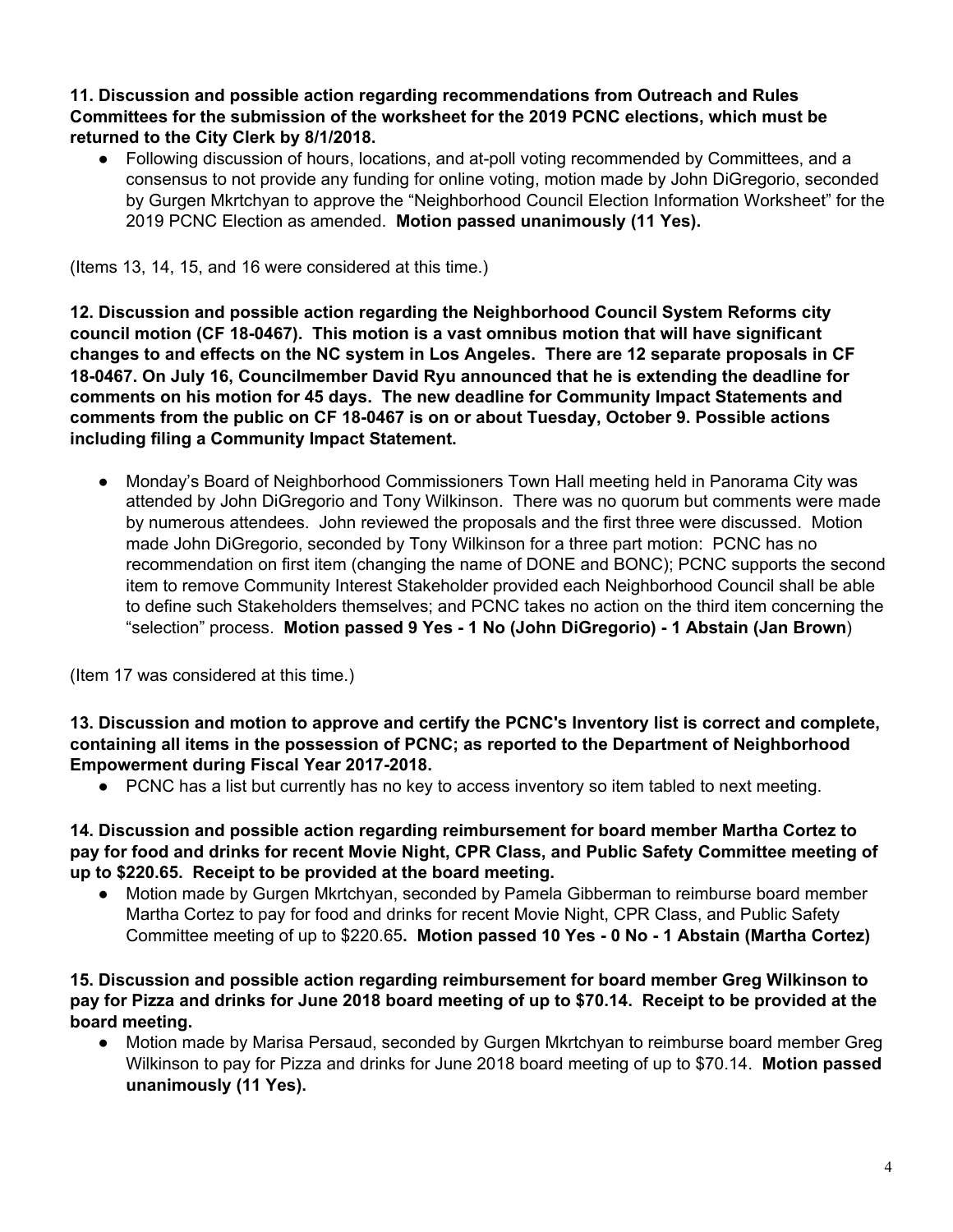#### **11. Discussion and possible action regarding recommendations from Outreach and Rules Committees for the submission of the worksheet for the 2019 PCNC elections, which must be returned to the City Clerk by 8/1/2018.**

● Following discussion of hours, locations, and at-poll voting recommended by Committees, and a consensus to not provide any funding for online voting, motion made by John DiGregorio, seconded by Gurgen Mkrtchyan to approve the "Neighborhood Council Election Information Worksheet" for the 2019 PCNC Election as amended. **Motion passed unanimously (11 Yes).**

(Items 13, 14, 15, and 16 were considered at this time.)

**12. Discussion and possible action regarding the Neighborhood Council System Reforms city council motion (CF 18-0467). This motion is a vast omnibus motion that will have significant changes to and effects on the NC system in Los Angeles. There are 12 separate proposals in CF 18-0467. On July 16, Councilmember David Ryu announced that he is extending the deadline for comments on his motion for 45 days. The new deadline for Community Impact Statements and comments from the public on CF 18-0467 is on or about Tuesday, October 9. Possible actions including filing a Community Impact Statement.**

**●** Monday's Board of Neighborhood Commissioners Town Hall meeting held in Panorama City was attended by John DiGregorio and Tony Wilkinson. There was no quorum but comments were made by numerous attendees. John reviewed the proposals and the first three were discussed. Motion made John DiGregorio, seconded by Tony Wilkinson for a three part motion: PCNC has no recommendation on first item (changing the name of DONE and BONC); PCNC supports the second item to remove Community Interest Stakeholder provided each Neighborhood Council shall be able to define such Stakeholders themselves; and PCNC takes no action on the third item concerning the "selection" process. **Motion passed 9 Yes - 1 No (John DiGregorio) - 1 Abstain (Jan Brown**)

(Item 17 was considered at this time.)

**13. Discussion and motion to approve and certify the PCNC's Inventory list is correct and complete, containing all items in the possession of PCNC; as reported to the Department of Neighborhood Empowerment during Fiscal Year 2017-2018.**

● PCNC has a list but currently has no key to access inventory so item tabled to next meeting.

**14. Discussion and possible action regarding reimbursement for board member Martha Cortez to pay for food and drinks for recent Movie Night, CPR Class, and Public Safety Committee meeting of up to \$220.65. Receipt to be provided at the board meeting.**

**●** Motion made by Gurgen Mkrtchyan, seconded by Pamela Gibberman to reimburse board member Martha Cortez to pay for food and drinks for recent Movie Night, CPR Class, and Public Safety Committee meeting of up to \$220.65**. Motion passed 10 Yes - 0 No - 1 Abstain (Martha Cortez)**

**15. Discussion and possible action regarding reimbursement for board member Greg Wilkinson to** pay for Pizza and drinks for June 2018 board meeting of up to \$70.14. Receipt to be provided at the **board meeting.**

**●** Motion made by Marisa Persaud, seconded by Gurgen Mkrtchyan to reimburse board member Greg Wilkinson to pay for Pizza and drinks for June 2018 board meeting of up to \$70.14. **Motion passed unanimously (11 Yes).**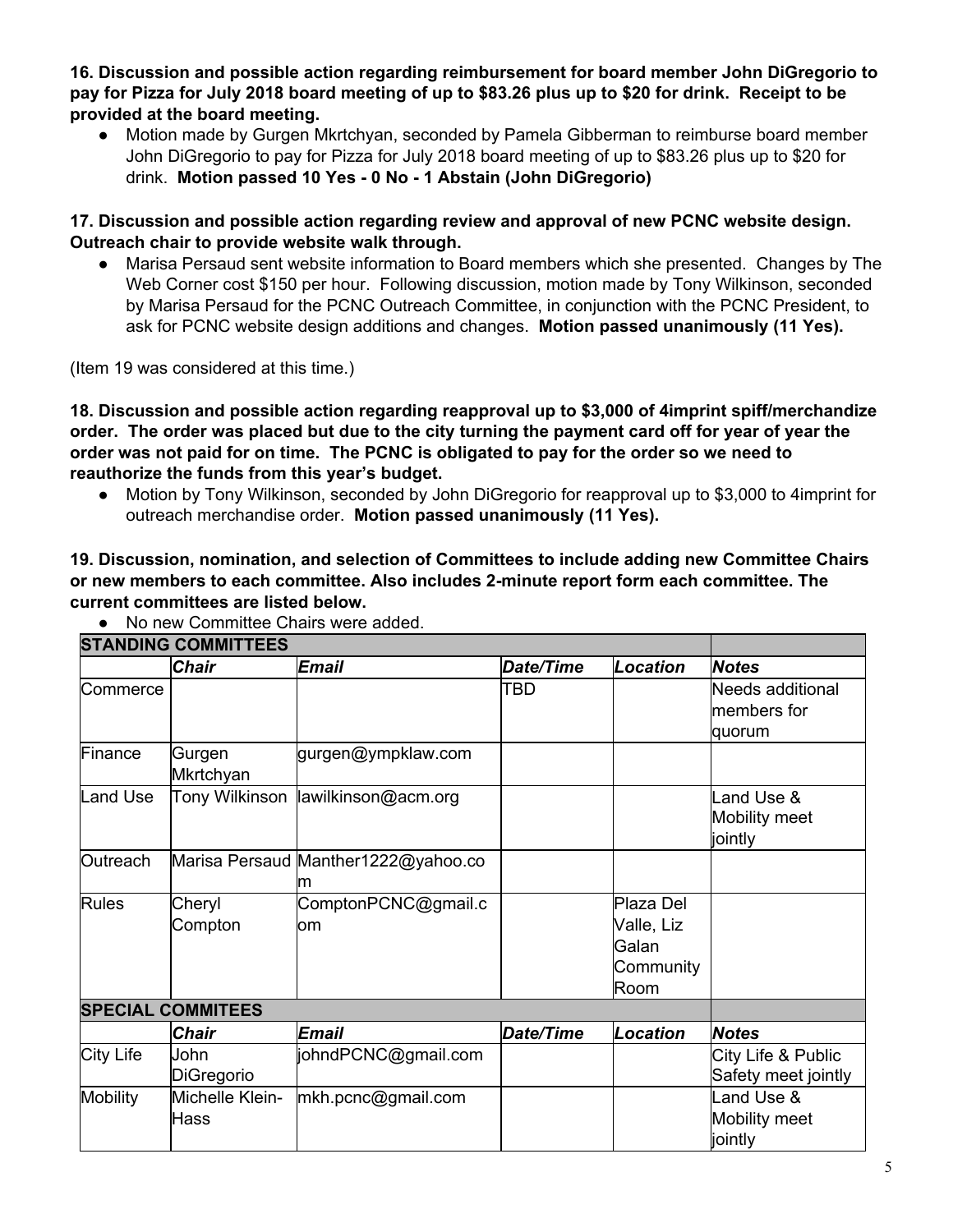**16. Discussion and possible action regarding reimbursement for board member John DiGregorio to** pay for Pizza for July 2018 board meeting of up to \$83.26 plus up to \$20 for drink. Receipt to be **provided at the board meeting.**

Motion made by Gurgen Mkrtchyan, seconded by Pamela Gibberman to reimburse board member John DiGregorio to pay for Pizza for July 2018 board meeting of up to \$83.26 plus up to \$20 for drink. **Motion passed 10 Yes - 0 No - 1 Abstain (John DiGregorio)**

**17. Discussion and possible action regarding review and approval of new PCNC website design. Outreach chair to provide website walk through.**

**●** Marisa Persaud sent website information to Board members which she presented. Changes by The Web Corner cost \$150 per hour. Following discussion, motion made by Tony Wilkinson, seconded by Marisa Persaud for the PCNC Outreach Committee, in conjunction with the PCNC President, to ask for PCNC website design additions and changes. **Motion passed unanimously (11 Yes).**

(Item 19 was considered at this time.)

**18. Discussion and possible action regarding reapproval up to \$3,000 of 4imprint spiff/merchandize** order. The order was placed but due to the city turning the payment card off for year of year the order was not paid for on time. The PCNC is obligated to pay for the order so we need to **reauthorize the funds from this year's budget.**

**●** Motion by Tony Wilkinson, seconded by John DiGregorio for reapproval up to \$3,000 to 4imprint for outreach merchandise order. **Motion passed unanimously (11 Yes).**

**19. Discussion, nomination, and selection of Committees to include adding new Committee Chairs or new members to each committee. Also includes 2-minute report form each committee. The current committees are listed below.**

|                 | <b>STANDING COMMITTEES</b><br><b>Chair</b> | Email                               | Date/Time        | Location   | <b>Notes</b>        |
|-----------------|--------------------------------------------|-------------------------------------|------------------|------------|---------------------|
|                 |                                            |                                     |                  |            |                     |
| Commerce        |                                            |                                     | TBD              |            | Needs additional    |
|                 |                                            |                                     |                  |            | members for         |
|                 |                                            |                                     |                  |            | quorum              |
| Finance         | Gurgen                                     | gurgen@ympklaw.com                  |                  |            |                     |
|                 | Mkrtchyan                                  |                                     |                  |            |                     |
| Land Use        | Tony Wilkinson                             | lawilkinson@acm.org                 |                  |            | Land Use &          |
|                 |                                            |                                     |                  |            | Mobility meet       |
|                 |                                            |                                     |                  |            | jointly             |
| <b>Outreach</b> |                                            | Marisa Persaud Manther1222@yahoo.co |                  |            |                     |
|                 |                                            | m                                   |                  |            |                     |
| <b>Rules</b>    | Cheryl                                     | ComptonPCNC@gmail.c                 |                  | Plaza Del  |                     |
|                 | Compton                                    | om                                  |                  | Valle, Liz |                     |
|                 |                                            |                                     |                  | Galan      |                     |
|                 |                                            |                                     |                  | Community  |                     |
|                 |                                            |                                     |                  | Room       |                     |
|                 | <b>SPECIAL COMMITEES</b>                   |                                     |                  |            |                     |
|                 | <b>Chair</b>                               | <b>Email</b>                        | <b>Date/Time</b> | Location   | <b>Notes</b>        |
| City Life       | John                                       | johndPCNC@gmail.com                 |                  |            | City Life & Public  |
|                 | DiGregorio                                 |                                     |                  |            | Safety meet jointly |
| <b>Mobility</b> | Michelle Klein-                            | mkh.pcnc@gmail.com                  |                  |            | Land Use &          |
|                 | Hass                                       |                                     |                  |            | Mobility meet       |
|                 |                                            |                                     |                  |            | jointly             |

● No new Committee Chairs were added.